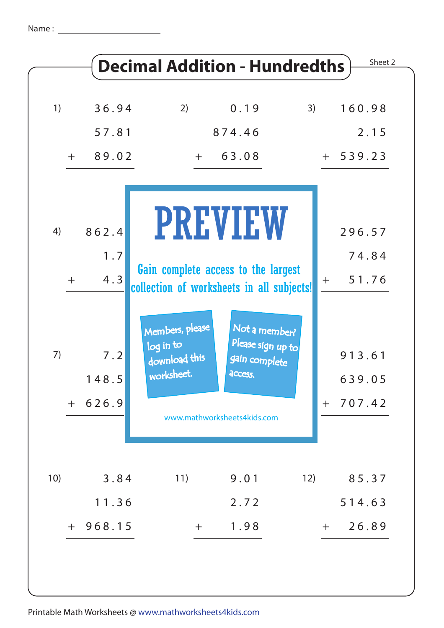| 1)  | 36.94        | 2)                                                                               | 0.19                                                           | 3)  |     | 160.98           |
|-----|--------------|----------------------------------------------------------------------------------|----------------------------------------------------------------|-----|-----|------------------|
|     | 57.81        |                                                                                  | 874.46                                                         |     |     | 2.15             |
| $+$ | 89.02        |                                                                                  | $+ 63.08$                                                      |     |     | $+ 539.23$       |
| 4)  | 862.4        |                                                                                  | <b>PREVIEW</b>                                                 |     |     | 296.57           |
|     | 1.7          |                                                                                  |                                                                |     |     | 74.84            |
| $+$ | 4.3          | Gain complete access to the largest<br>collection of worksheets in all subjects! |                                                                |     | $+$ | 51.76            |
| 7)  | 7.2<br>148.5 | Members, please<br>log in to<br>download this<br>worksheet.                      | Not a member?<br>Please sign up to<br>gain complete<br>access. |     |     | 913.61<br>639.05 |
|     | $+ 626.9$    | www.mathworksheets4kids.com                                                      |                                                                |     |     | $+ 707.42$       |
| 10) | 3.84         | 11)                                                                              | 9.01                                                           | 12) |     | 85.37            |
|     | 11.36        |                                                                                  | 2.72                                                           |     |     | 514.63           |
|     | $+ 968.15$   | $+$                                                                              | 1.98                                                           |     | $+$ | 26.89            |